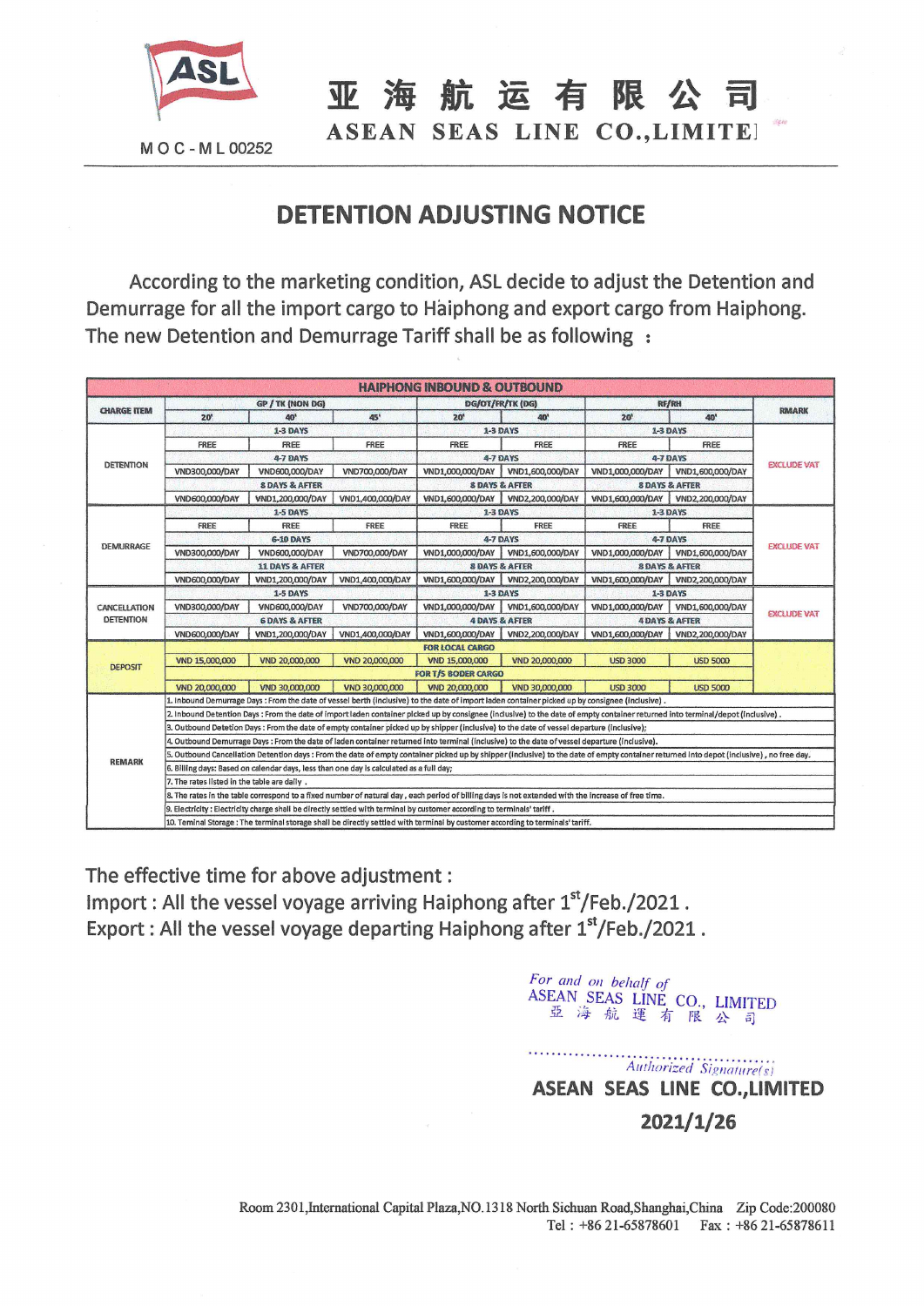

MOC-ML00252

亚海航运有限公

ASEAN SEAS LINE CO., LIMITE!

## **DETENTION ADJUSTING NOTICE**

According to the marketing condition, ASL decide to adjust the Detention and Demurrage for all the import cargo to Haiphong and export cargo from Haiphong. The new Detention and Demurrage Tariff shall be as following :

|                    |                                                                                                                                                                                          |                           |                  | <b>HAIPHONG INBOUND &amp; OUTBOUND</b> |                           |                           |                    |                    |  |  |
|--------------------|------------------------------------------------------------------------------------------------------------------------------------------------------------------------------------------|---------------------------|------------------|----------------------------------------|---------------------------|---------------------------|--------------------|--------------------|--|--|
| <b>CHARGE ITEM</b> | GP / TK (NON DG)                                                                                                                                                                         |                           |                  |                                        | DG/OT/FR/TK (DG)          | <b>RF/RH</b>              |                    |                    |  |  |
|                    | $20^{\circ}$                                                                                                                                                                             | 40'                       | 45'              | 20'                                    | 40 <sup>1</sup>           | 20 <sup>h</sup>           | 40'                | <b>RMARK</b>       |  |  |
| <b>DETENTION</b>   | <b>1-3 DAYS</b>                                                                                                                                                                          |                           |                  |                                        | 1-3 DAYS                  | <b>1-3 DAYS</b>           |                    |                    |  |  |
|                    | <b>FREE</b>                                                                                                                                                                              | FREE                      | FREE             | FREE                                   | FREE                      | FREE                      | FREE               |                    |  |  |
|                    | 4-7 DAYS                                                                                                                                                                                 |                           |                  |                                        | 4-7 DAYS                  | 4-7 DAYS                  |                    |                    |  |  |
|                    | VND300,000/DAY                                                                                                                                                                           | VND600,000/DAY            | VND700,000/DAY   | VND1,000,000/DAY                       | VND1,600,000/DAY          | VND1,000,000/DAY          | VND1,600,000/DAY   | <b>EXCLUDE VAT</b> |  |  |
|                    | <b>8 DAYS &amp; AFTER</b>                                                                                                                                                                |                           |                  |                                        | <b>8 DAYS &amp; AFTER</b> | <b>8 DAYS &amp; AFTER</b> |                    |                    |  |  |
|                    | VND600,000/DAY                                                                                                                                                                           | VND1,200,000/DAY          | VND1,400,000/DAY | VND1,600,000/DAY                       | VND2,200,000/DAY          | VND1,600,000/DAY          | VND2,200,000/DAY   |                    |  |  |
|                    |                                                                                                                                                                                          | <b>1-5 DAYS</b>           |                  |                                        | 1-3 DAYS                  | 1-3 DAYS                  |                    |                    |  |  |
| <b>DEMURRAGE</b>   | FREE                                                                                                                                                                                     | FREE                      | FREE             | FREE                                   | FREE                      | FREE                      | FREE               |                    |  |  |
|                    | <b>6-10 DAYS</b>                                                                                                                                                                         |                           |                  |                                        | 4-7 DAYS                  | 4-7 DAYS                  |                    |                    |  |  |
|                    | VND300,000/DAY                                                                                                                                                                           | VND600,000/DAY            | VND700,000/DAY   | VND1,000,000/DAY                       | VND1,600,000/DAY          | VND1,000,000/DAY          | VND1,600,000/DAY   | <b>EXCLUDE VAT</b> |  |  |
|                    | <b>11 DAYS &amp; AFTER</b>                                                                                                                                                               |                           |                  |                                        | <b>8 DAYS &amp; AFTER</b> | <b>8 DAYS &amp; AFTER</b> |                    |                    |  |  |
|                    | VND600,000/DAY                                                                                                                                                                           | VND1,200,000/DAY          | VND1,400,000/DAY | VND1,600,000/DAY                       | VND2,200,000/DAY          | VND1,600,000/DAY          | VND2,200,000/DAY   |                    |  |  |
| CANCELLATION       | 1-5 DAYS                                                                                                                                                                                 |                           |                  |                                        | 1-3 DAYS                  | 1-3 DAYS                  |                    |                    |  |  |
|                    | VND300,000/DAY                                                                                                                                                                           | VND600,000/DAY            | VND700,000/DAY   | VND1,000,000/DAY                       | VND1,600,000/DAY          | VND1,000,000/DAY          | VND1,600,000/DAY   |                    |  |  |
| <b>DETENTION</b>   |                                                                                                                                                                                          | <b>6 DAYS &amp; AFTER</b> |                  |                                        | <b>4 DAYS &amp; AFTER</b> | <b>4 DAYS &amp; AFTER</b> | <b>EXCLUDE VAT</b> |                    |  |  |
|                    | VND600,000/DAY                                                                                                                                                                           | VND1,200,000/DAY          | VND1,400,000/DAY | VND1,600,000/DAY                       | VND2,200,000/DAY          | VND1,600,000/DAY          | VND2,200,000/DAY   |                    |  |  |
|                    | <b>FOR LOCAL CARGO</b>                                                                                                                                                                   |                           |                  |                                        |                           |                           |                    |                    |  |  |
| <b>DEPOSIT</b>     | VND 15,000,000                                                                                                                                                                           | VND 20,000,000            | VND 20,000,000   | VND 15,000,000                         | VND 20,000,000            | <b>USD 3000</b>           | <b>USD 5000</b>    |                    |  |  |
|                    | <b>FOR T/S BODER CARGO</b>                                                                                                                                                               |                           |                  |                                        |                           |                           |                    |                    |  |  |
|                    | VND 20,000,000                                                                                                                                                                           | VND 30,000,000            | VND 30,000,000   | VND 20,000,000                         | VND 30,000,000            | <b>USD 3000</b>           | <b>USD 5000</b>    |                    |  |  |
| <b>REMARK</b>      | 1. Inbound Demurrage Days : From the date of vessel berth (inclusive) to the date of import laden container picked up by consignee (inclusive).                                          |                           |                  |                                        |                           |                           |                    |                    |  |  |
|                    | 2. Inbound Detention Days : From the date of import laden container picked up by consignee (inclusive) to the date of empty container returned into terminal/depot (inclusive),          |                           |                  |                                        |                           |                           |                    |                    |  |  |
|                    | 3. Outbound Detetion Days : From the date of empty container picked up by shipper (inclusive) to the date of vessel departure (inclusive);                                               |                           |                  |                                        |                           |                           |                    |                    |  |  |
|                    | 4. Outbound Demurrage Days : From the date of laden container returned into terminal (inclusive) to the date of vessel departure (inclusive).                                            |                           |                  |                                        |                           |                           |                    |                    |  |  |
|                    | 5. Outbound Cancellation Detention days : From the date of empty container picked up by shipper (inclusive) to the date of empty container returned into depot (inclusive), no free day, |                           |                  |                                        |                           |                           |                    |                    |  |  |
|                    | 6. Billing days: Based on calendar days, less than one day is calculated as a full day;                                                                                                  |                           |                  |                                        |                           |                           |                    |                    |  |  |
|                    | 7. The rates listed in the table are daily.                                                                                                                                              |                           |                  |                                        |                           |                           |                    |                    |  |  |
|                    | 8. The rates in the table correspond to a fixed number of natural day, each period of billing days is not extended with the increase of free time.                                       |                           |                  |                                        |                           |                           |                    |                    |  |  |
|                    | . S. Electricity : Electricity charge shall be directly settled with terminal by customer according to terminals' tariff                                                                 |                           |                  |                                        |                           |                           |                    |                    |  |  |
|                    | 10. Teminal Storage: The terminal storage shall be directly settled with terminal by customer according to terminals' tariff.                                                            |                           |                  |                                        |                           |                           |                    |                    |  |  |

The effective time for above adjustment : Import: All the vessel voyage arriving Haiphong after 1st/Feb./2021. Export : All the vessel voyage departing Haiphong after  $1<sup>st</sup>/Feb./2021$ .

> For and on behalf of ASEAN SEAS LINE CO., LIMITED 亞海航運有限公司

. **. . . . . . . . . . . . . .** . Authorized Signature(s) ASEAN SEAS LINE CO., LIMITED  $2021/1/26$